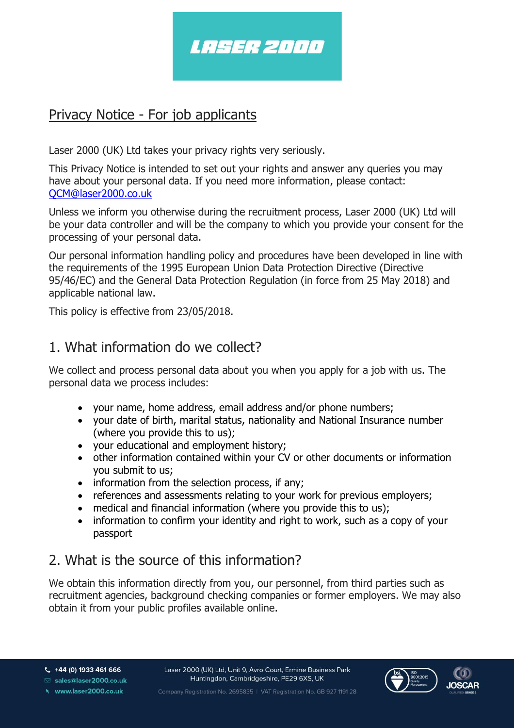

### Privacy Notice - For job applicants

Laser 2000 (UK) Ltd takes your privacy rights very seriously.

This Privacy Notice is intended to set out your rights and answer any queries you may have about your personal data. If you need more information, please contact: [QCM@laser2000.co.uk](mailto:QCM@laser2000.co.uk)

Unless we inform you otherwise during the recruitment process, Laser 2000 (UK) Ltd will be your data controller and will be the company to which you provide your consent for the processing of your personal data.

Our personal information handling policy and procedures have been developed in line with the requirements of the 1995 European Union Data Protection Directive (Directive 95/46/EC) and the General Data Protection Regulation (in force from 25 May 2018) and applicable national law.

This policy is effective from 23/05/2018.

#### 1. What information do we collect?

We collect and process personal data about you when you apply for a job with us. The personal data we process includes:

- your name, home address, email address and/or phone numbers;
- your date of birth, marital status, nationality and National Insurance number (where you provide this to us);
- your educational and employment history;
- other information contained within your CV or other documents or information you submit to us;
- information from the selection process, if any;
- references and assessments relating to your work for previous employers;
- medical and financial information (where you provide this to us);
- information to confirm your identity and right to work, such as a copy of your passport

### 2. What is the source of this information?

We obtain this information directly from you, our personnel, from third parties such as recruitment agencies, background checking companies or former employers. We may also obtain it from your public profiles available online.

Company Registration No. 2695835 | VAT Registration No. GB 927 1191 28



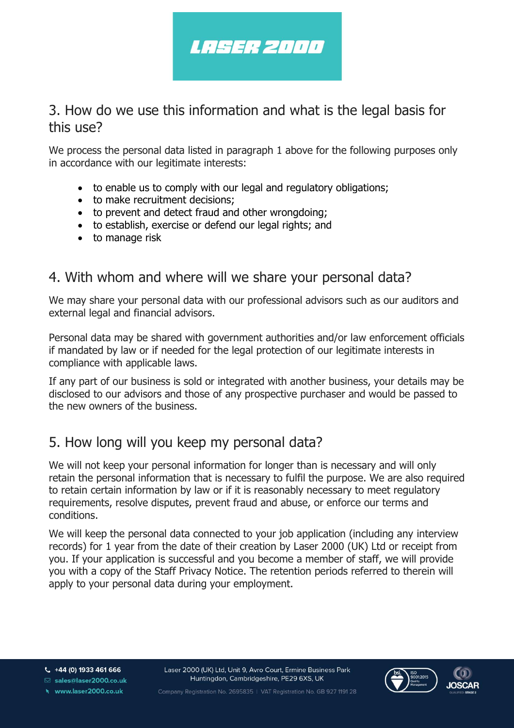

#### 3. How do we use this information and what is the legal basis for this use?

We process the personal data listed in paragraph 1 above for the following purposes only in accordance with our legitimate interests:

- to enable us to comply with our legal and regulatory obligations;
- to make recruitment decisions;
- to prevent and detect fraud and other wrongdoing;
- to establish, exercise or defend our legal rights; and
- to manage risk

#### 4. With whom and where will we share your personal data?

We may share your personal data with our professional advisors such as our auditors and external legal and financial advisors.

Personal data may be shared with government authorities and/or law enforcement officials if mandated by law or if needed for the legal protection of our legitimate interests in compliance with applicable laws.

If any part of our business is sold or integrated with another business, your details may be disclosed to our advisors and those of any prospective purchaser and would be passed to the new owners of the business.

#### 5. How long will you keep my personal data?

We will not keep your personal information for longer than is necessary and will only retain the personal information that is necessary to fulfil the purpose. We are also required to retain certain information by law or if it is reasonably necessary to meet regulatory requirements, resolve disputes, prevent fraud and abuse, or enforce our terms and conditions.

We will keep the personal data connected to your job application (including any interview records) for 1 year from the date of their creation by Laser 2000 (UK) Ltd or receipt from you. If your application is successful and you become a member of staff, we will provide you with a copy of the Staff Privacy Notice. The retention periods referred to therein will apply to your personal data during your employment.